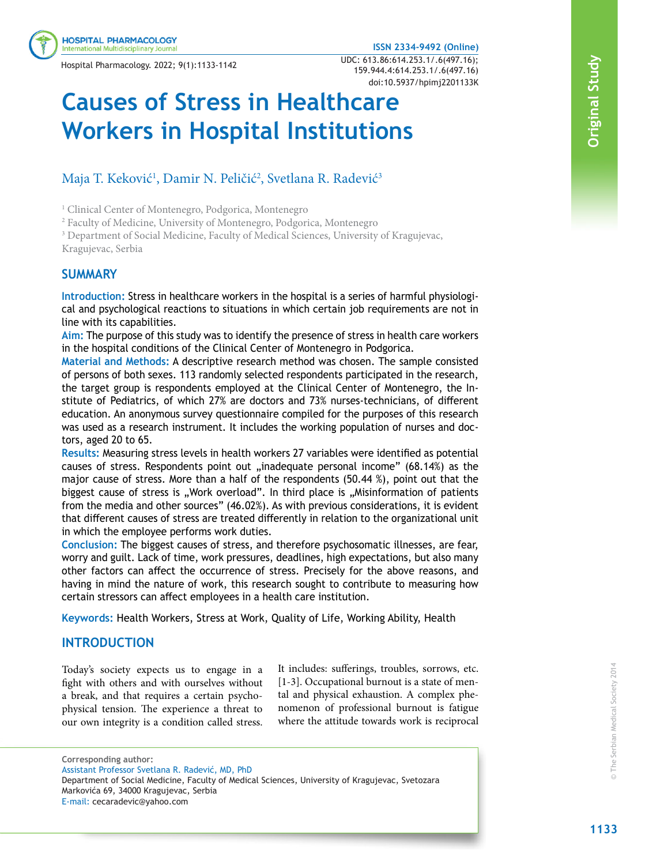#### **ISSN 2334-9492 (Online)**

Hospital Pharmacology. 2022; 9(1):1133-1142 UDC: 613.86:614.253.1/.6(497.16); 159.944.4:614.253.1/.6(497.16) doi:10.5937/hpimj2201133K

# **Causes of Stress in Healthcare Workers in Hospital Institutions**

# Maja T. Keković<sup>1</sup>, Damir N. Peličić<sup>2</sup>, Svetlana R. Radević<sup>3</sup>

<sup>1</sup> Clinical Center of Montenegro, Podgorica, Montenegro

<sup>2</sup> Faculty of Medicine, University of Montenegro, Podgorica, Montenegro

<sup>3</sup> Department of Social Medicine, Faculty of Medical Sciences, University of Kragujevac, Kragujevac, Serbia

# **SUMMARY**

**Introduction:** Stress in healthcare workers in the hospital is a series of harmful physiological and psychological reactions to situations in which certain job requirements are not in line with its capabilities.

**Aim:** The purpose of this study was to identify the presence of stress in health care workers in the hospital conditions of the Clinical Center of Montenegro in Podgorica.

**Material and Methods:** A descriptive research method was chosen. The sample consisted of persons of both sexes. 113 randomly selected respondents participated in the research, the target group is respondents employed at the Clinical Center of Montenegro, the Institute of Pediatrics, of which 27% are doctors and 73% nurses-technicians, of different education. An anonymous survey questionnaire compiled for the purposes of this research was used as a research instrument. It includes the working population of nurses and doctors, aged 20 to 65.

**Results:** Measuring stress levels in health workers 27 variables were identified as potential causes of stress. Respondents point out "inadequate personal income" (68.14%) as the major cause of stress. More than a half of the respondents (50.44 %), point out that the biggest cause of stress is "Work overload". In third place is "Misinformation of patients from the media and other sources" (46.02%). As with previous considerations, it is evident that different causes of stress are treated differently in relation to the organizational unit in which the employee performs work duties.

**Conclusion:** The biggest causes of stress, and therefore psychosomatic illnesses, are fear, worry and guilt. Lack of time, work pressures, deadlines, high expectations, but also many other factors can affect the occurrence of stress. Precisely for the above reasons, and having in mind the nature of work, this research sought to contribute to measuring how certain stressors can affect employees in a health care institution.

**Keywords:** Health Workers, Stress at Work, Quality of Life, Working Ability, Health

# **INTRODUCTION**

Today's society expects us to engage in a fight with others and with ourselves without a break, and that requires a certain psychophysical tension. The experience a threat to our own integrity is a condition called stress.

It includes: sufferings, troubles, sorrows, etc. [1-3]. Occupational burnout is a state of mental and physical exhaustion. A complex phenomenon of professional burnout is fatigue where the attitude towards work is reciprocal

**Corresponding author:** Assistant Professor Svetlana R. Radević, MD, PhD

Department of Social Medicine, Faculty of Medical Sciences, University of Kragujevac, Svetozara Markovića 69, 34000 Kragujevac, Serbia

**Original Study**

Original Study

E-mail: cecaradevic@yahoo.com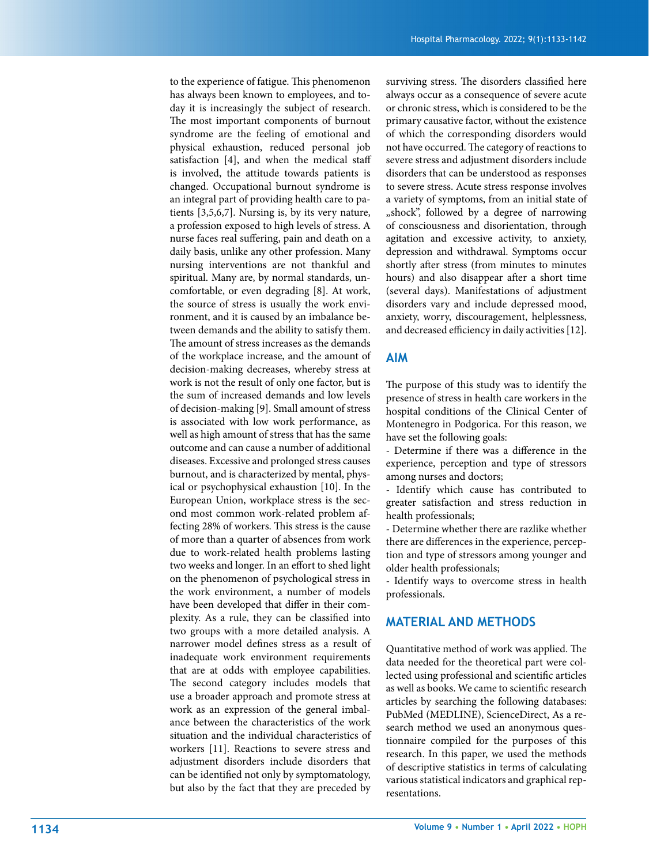to the experience of fatigue. This phenomenon has always been known to employees, and to day it is increasingly the subject of research. The most important components of burnout syndrome are the feeling of emotional and physical exhaustion, reduced personal job satisfaction [4], and when the medical staff is involved, the attitude towards patients is changed. Occupational burnout syndrome is an integral part of providing health care to pa tients [3,5,6,7]. Nursing is, by its very nature, a profession exposed to high levels of stress. A nurse faces real suffering, pain and death on a daily basis, unlike any other profession. Many nursing interventions are not thankful and spiritual. Many are, by normal standards, un comfortable, or even degrading [8]. At work, the source of stress is usually the work envi ronment, and it is caused by an imbalance be tween demands and the ability to satisfy them. The amount of stress increases as the demands of the workplace increase, and the amount of decision-making decreases, whereby stress at work is not the result of only one factor, but is the sum of increased demands and low levels of decision-making [9]. Small amount of stress is associated with low work performance, as well as high amount of stress that has the same outcome and can cause a number of additional diseases. Excessive and prolonged stress causes burnout, and is characterized by mental, phys ical or psychophysical exhaustion [10]. In the European Union, workplace stress is the sec ond most common work-related problem affecting 28% of workers. This stress is the cause of more than a quarter of absences from work due to work-related health problems lasting two weeks and longer. In an effort to shed light on the phenomenon of psychological stress in the work environment, a number of models have been developed that differ in their com plexity. As a rule, they can be classified into two groups with a more detailed analysis. A narrower model defines stress as a result of inadequate work environment requirements that are at odds with employee capabilities. The second category includes models that use a broader approach and promote stress at work as an expression of the general imbal ance between the characteristics of the work situation and the individual characteristics of workers [11]. Reactions to severe stress and adjustment disorders include disorders that can be identified not only by symptomatology, but also by the fact that they are preceded by

surviving stress. The disorders classified here always occur as a consequence of severe acute or chronic stress, which is considered to be the primary causative factor, without the existence of which the corresponding disorders would not have occurred. The category of reactions to severe stress and adjustment disorders include disorders that can be understood as responses to severe stress. Acute stress response involves a variety of symptoms, from an initial state of "shock", followed by a degree of narrowing of consciousness and disorientation, through agitation and excessive activity, to anxiety, depression and withdrawal. Symptoms occur shortly after stress (from minutes to minutes hours) and also disappear after a short time (several days). Manifestations of adjustment disorders vary and include depressed mood, anxiety, worry, discouragement, helplessness, and decreased efficiency in daily activities [12].

# **AIM**

The purpose of this study was to identify the presence of stress in health care workers in the hospital conditions of the Clinical Center of Montenegro in Podgorica. For this reason, we have set the following goals:

- Determine if there was a difference in the experience, perception and type of stressors among nurses and doctors;

- Identify which cause has contributed to greater satisfaction and stress reduction in health professionals;

- Determine whether there are razlike whether there are differences in the experience, percep tion and type of stressors among younger and older health professionals;

- Identify ways to overcome stress in health professionals.

# **MATERIAL AND METHODS**

Quantitative method of work was applied. The data needed for the theoretical part were col lected using professional and scientific articles as well as books. We came to scientific research articles by searching the following databases: PubMed (MEDLINE), ScienceDirect, As a re search method we used an anonymous ques tionnaire compiled for the purposes of this research. In this paper, we used the methods of descriptive statistics in terms of calculating various statistical indicators and graphical rep resentations.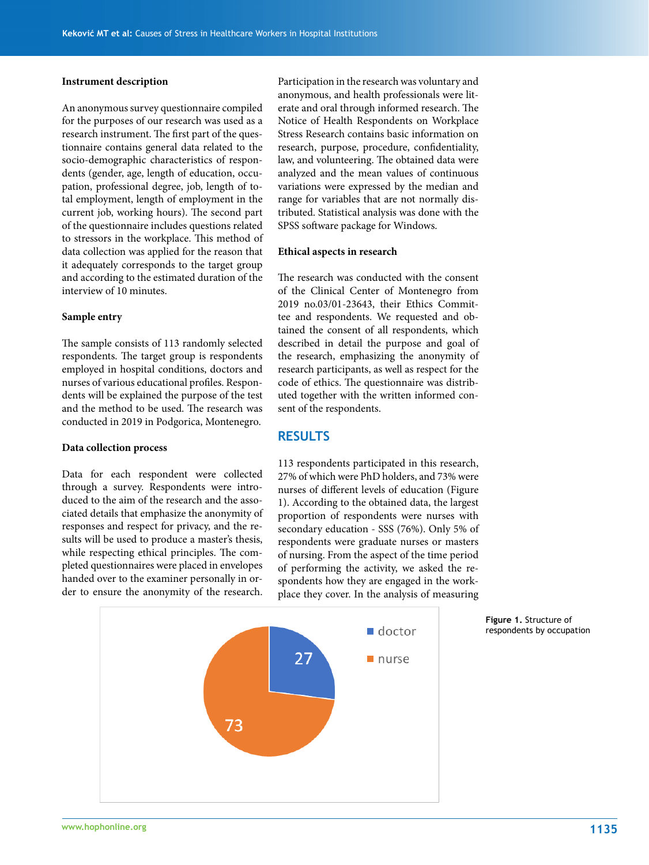#### **Instrument description**

An anonymous survey questionnaire compiled for the purposes of our research was used as a research instrument. The first part of the questionnaire contains general data related to the socio-demographic characteristics of respondents (gender, age, length of education, occupation, professional degree, job, length of total employment, length of employment in the current job, working hours). The second part of the questionnaire includes questions related to stressors in the workplace. This method of data collection was applied for the reason that it adequately corresponds to the target group and according to the estimated duration of the interview of 10 minutes.

#### **Sample entry**

The sample consists of 113 randomly selected respondents. The target group is respondents employed in hospital conditions, doctors and nurses of various educational profiles. Respondents will be explained the purpose of the test and the method to be used. The research was conducted in 2019 in Podgorica, Montenegro.

#### **Data collection process**

Data for each respondent were collected through a survey. Respondents were introduced to the aim of the research and the associated details that emphasize the anonymity of responses and respect for privacy, and the results will be used to produce a master's thesis, while respecting ethical principles. The completed questionnaires were placed in envelopes handed over to the examiner personally in order to ensure the anonymity of the research.

Participation in the research was voluntary and anonymous, and health professionals were literate and oral through informed research. The Notice of Health Respondents on Workplace Stress Research contains basic information on research, purpose, procedure, confidentiality, law, and volunteering. The obtained data were analyzed and the mean values of continuous variations were expressed by the median and range for variables that are not normally distributed. Statistical analysis was done with the SPSS software package for Windows.

#### **Ethical aspects in research**

The research was conducted with the consent of the Clinical Center of Montenegro from 2019 no.03/01-23643, their Ethics Committee and respondents. We requested and obtained the consent of all respondents, which described in detail the purpose and goal of the research, emphasizing the anonymity of research participants, as well as respect for the code of ethics. The questionnaire was distributed together with the written informed consent of the respondents.

# **RESULTS**

113 respondents participated in this research, 27% of which were PhD holders, and 73% were nurses of different levels of education (Figure 1). According to the obtained data, the largest proportion of respondents were nurses with secondary education - SSS (76%). Only 5% of respondents were graduate nurses or masters of nursing. From the aspect of the time period of performing the activity, we asked the respondents how they are engaged in the workplace they cover. In the analysis of measuring



**Figure 1.** Structure of respondents by occupation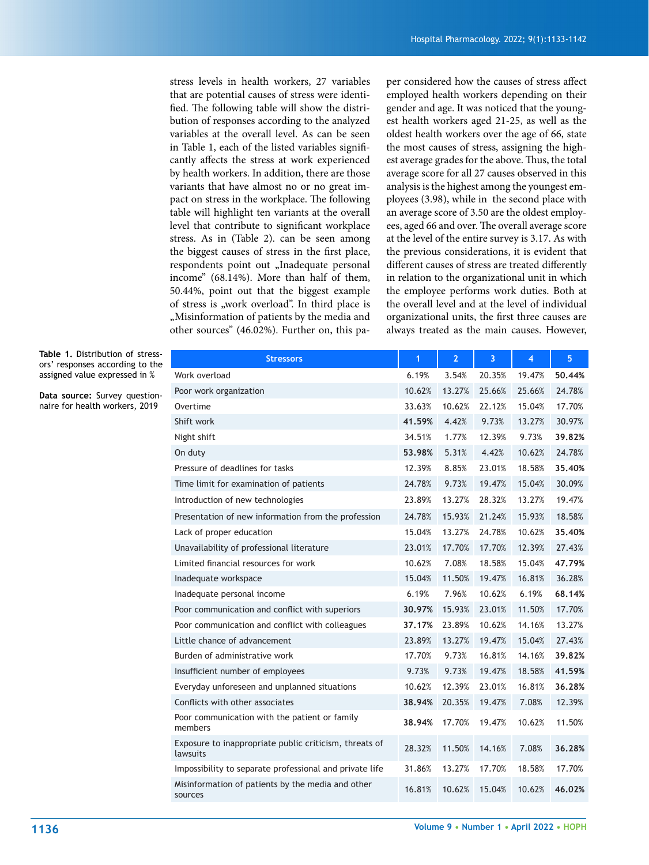stress levels in health workers, 27 variables that are potential causes of stress were identified. The following table will show the distribution of responses according to the analyzed variables at the overall level. As can be seen in Table 1, each of the listed variables significantly affects the stress at work experienced by health workers. In addition, there are those variants that have almost no or no great impact on stress in the workplace. The following table will highlight ten variants at the overall level that contribute to significant workplace stress. As in (Table 2). can be seen among the biggest causes of stress in the first place, respondents point out "Inadequate personal income" (68.14%). More than half of them, 50.44%, point out that the biggest example of stress is "work overload". In third place is "Misinformation of patients by the media and other sources" (46.02%). Further on, this pa-

per considered how the causes of stress affect employed health workers depending on their gender and age. It was noticed that the youngest health workers aged 21-25, as well as the oldest health workers over the age of 66, state the most causes of stress, assigning the highest average grades for the above. Thus, the total average score for all 27 causes observed in this analysis is the highest among the youngest employees (3.98), while in the second place with an average score of 3.50 are the oldest employees, aged 66 and over. The overall average score at the level of the entire survey is 3.17. As with the previous considerations, it is evident that different causes of stress are treated differently in relation to the organizational unit in which the employee performs work duties. Both at the overall level and at the level of individual organizational units, the first three causes are always treated as the main causes. However,

**Table 1.** Distribution of stressors' responses according to the assigned value expressed in %

**Data source:** Survey questionnaire for health workers, 2019

| <b>Stressors</b>                                                   | 1      | $\overline{2}$ | 3      | 4      | 5      |
|--------------------------------------------------------------------|--------|----------------|--------|--------|--------|
| Work overload                                                      | 6.19%  | 3.54%          | 20.35% | 19.47% | 50.44% |
| Poor work organization                                             | 10.62% | 13.27%         | 25.66% | 25.66% | 24.78% |
| Overtime                                                           | 33.63% | 10.62%         | 22.12% | 15.04% | 17.70% |
| Shift work                                                         | 41.59% | 4.42%          | 9.73%  | 13.27% | 30.97% |
| Night shift                                                        | 34.51% | 1.77%          | 12.39% | 9.73%  | 39.82% |
| On duty                                                            | 53.98% | 5.31%          | 4.42%  | 10.62% | 24.78% |
| Pressure of deadlines for tasks                                    | 12.39% | 8.85%          | 23.01% | 18.58% | 35.40% |
| Time limit for examination of patients                             | 24.78% | 9.73%          | 19.47% | 15.04% | 30.09% |
| Introduction of new technologies                                   | 23.89% | 13.27%         | 28.32% | 13.27% | 19.47% |
| Presentation of new information from the profession                | 24.78% | 15.93%         | 21.24% | 15.93% | 18.58% |
| Lack of proper education                                           | 15.04% | 13.27%         | 24.78% | 10.62% | 35.40% |
| Unavailability of professional literature                          | 23.01% | 17.70%         | 17.70% | 12.39% | 27.43% |
| Limited financial resources for work                               | 10.62% | 7.08%          | 18.58% | 15.04% | 47.79% |
| Inadequate workspace                                               | 15.04% | 11.50%         | 19.47% | 16.81% | 36.28% |
| Inadequate personal income                                         | 6.19%  | 7.96%          | 10.62% | 6.19%  | 68.14% |
| Poor communication and conflict with superiors                     | 30.97% | 15.93%         | 23.01% | 11.50% | 17.70% |
| Poor communication and conflict with colleagues                    | 37.17% | 23.89%         | 10.62% | 14.16% | 13.27% |
| Little chance of advancement                                       | 23.89% | 13.27%         | 19.47% | 15.04% | 27.43% |
| Burden of administrative work                                      | 17.70% | 9.73%          | 16.81% | 14.16% | 39.82% |
| Insufficient number of employees                                   | 9.73%  | 9.73%          | 19.47% | 18.58% | 41.59% |
| Everyday unforeseen and unplanned situations                       | 10.62% | 12.39%         | 23.01% | 16.81% | 36.28% |
| Conflicts with other associates                                    | 38.94% | 20.35%         | 19.47% | 7.08%  | 12.39% |
| Poor communication with the patient or family<br>members           | 38.94% | 17.70%         | 19.47% | 10.62% | 11.50% |
| Exposure to inappropriate public criticism, threats of<br>lawsuits | 28.32% | 11.50%         | 14.16% | 7.08%  | 36.28% |
| Impossibility to separate professional and private life            | 31.86% | 13.27%         | 17.70% | 18.58% | 17.70% |
| Misinformation of patients by the media and other<br>sources       | 16.81% | 10.62%         | 15.04% | 10.62% | 46.02% |
|                                                                    |        |                |        |        |        |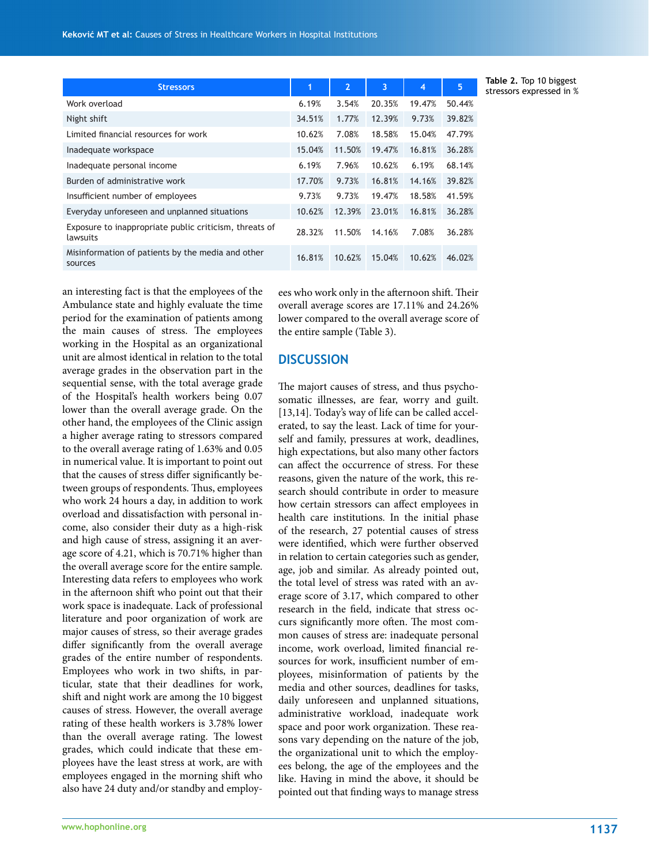an interesting fact is that the employees of the Ambulance state and highly evaluate the time period for the examination of patients among the main causes of stress. The employees working in the Hospital as an organizational unit are almost identical in relation to the total average grades in the observation part in the sequential sense, with the total average grade of the Hospital's health workers being 0.07 lower than the overall average grade. On the other hand, the employees of the Clinic assign a higher average rating to stressors compared to the overall average rating of 1.63% and 0.05 in numerical value. It is important to point out that the causes of stress differ significantly between groups of respondents. Thus, employees who work 24 hours a day, in addition to work overload and dissatisfaction with personal income, also consider their duty as a high-risk and high cause of stress, assigning it an average score of 4.21, which is 70.71% higher than the overall average score for the entire sample. Interesting data refers to employees who work in the afternoon shift who point out that their work space is inadequate. Lack of professional literature and poor organization of work are major causes of stress, so their average grades differ significantly from the overall average grades of the entire number of respondents. Employees who work in two shifts, in particular, state that their deadlines for work, shift and night work are among the 10 biggest causes of stress. However, the overall average rating of these health workers is 3.78% lower

than the overall average rating. The lowest grades, which could indicate that these employees have the least stress at work, are with employees engaged in the morning shift who also have 24 duty and/or standby and employ-

ees who work only in the afternoon shift. Their overall average scores are 17.11% and 24.26% lower compared to the overall average score of the entire sample (Table 3).

# **DISCUSSION**

The majort causes of stress, and thus psychosomatic illnesses, are fear, worry and guilt. [13,14]. Today's way of life can be called accelerated, to say the least. Lack of time for yourself and family, pressures at work, deadlines, high expectations, but also many other factors can affect the occurrence of stress. For these reasons, given the nature of the work, this research should contribute in order to measure how certain stressors can affect employees in health care institutions. In the initial phase of the research, 27 potential causes of stress were identified, which were further observed in relation to certain categories such as gender, age, job and similar. As already pointed out, the total level of stress was rated with an average score of 3.17, which compared to other research in the field, indicate that stress occurs significantly more often. The most common causes of stress are: inadequate personal income, work overload, limited financial resources for work, insufficient number of employees, misinformation of patients by the media and other sources, deadlines for tasks, daily unforeseen and unplanned situations, administrative workload, inadequate work space and poor work organization. These reasons vary depending on the nature of the job, the organizational unit to which the employees belong, the age of the employees and the like. Having in mind the above, it should be pointed out that finding ways to manage stress

**Table 2.** Top 10 biggest stressors expressed in %

| <b>Stressors</b>                                                   | 1      | $\overline{2}$ | 3      | $\overline{4}$ | 5      |
|--------------------------------------------------------------------|--------|----------------|--------|----------------|--------|
| Work overload                                                      | 6.19%  | 3.54%          | 20.35% | 19.47%         | 50.44% |
| Night shift                                                        | 34.51% | 1.77%          | 12.39% | 9.73%          | 39.82% |
| Limited financial resources for work                               | 10.62% | 7.08%          | 18.58% | 15.04%         | 47.79% |
| Inadequate workspace                                               | 15.04% | 11.50%         | 19.47% | 16.81%         | 36.28% |
| Inadequate personal income                                         | 6.19%  | 7.96%          | 10.62% | 6.19%          | 68.14% |
| Burden of administrative work                                      | 17.70% | 9.73%          | 16.81% | 14.16%         | 39.82% |
| Insufficient number of employees                                   | 9.73%  | 9.73%          | 19.47% | 18.58%         | 41.59% |
| Everyday unforeseen and unplanned situations                       | 10.62% | 12.39%         | 23.01% | 16.81%         | 36.28% |
| Exposure to inappropriate public criticism, threats of<br>lawsuits | 28.32% | 11.50%         | 14.16% | 7.08%          | 36.28% |
| Misinformation of patients by the media and other<br>sources       | 16.81% | 10.62%         | 15.04% | 10.62%         | 46.02% |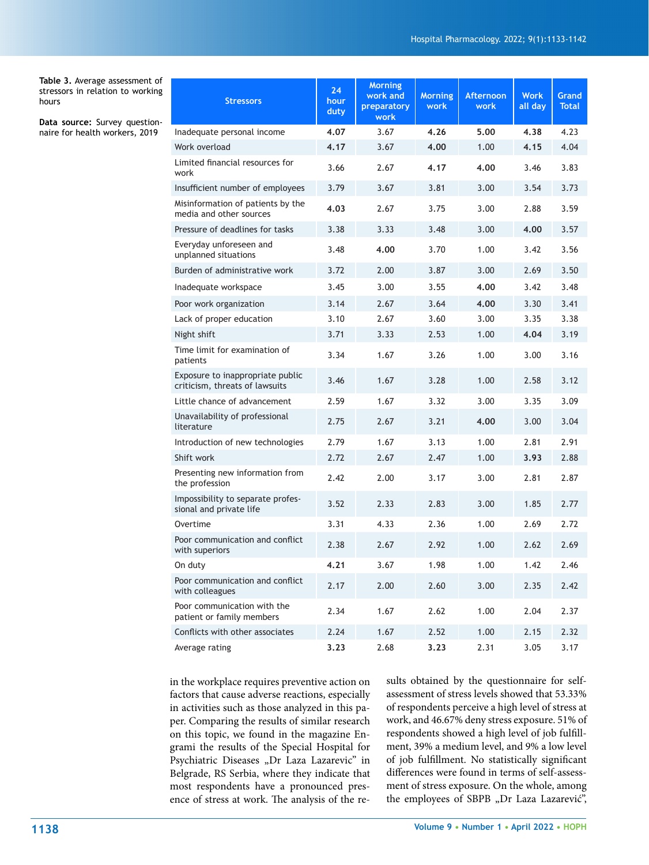**Table 3.** Average assessment of stressors in relation to working hours

**Data source:** Survey questionnaire for health workers, 2019

| <b>Stressors</b>                                                   | 24<br>hour<br>duty | <b>Morning</b><br>work and<br>preparatory<br>work | <b>Morning</b><br>work | Afternoon<br>work | <b>Work</b><br>all day | Grand<br><b>Total</b> |
|--------------------------------------------------------------------|--------------------|---------------------------------------------------|------------------------|-------------------|------------------------|-----------------------|
| Inadequate personal income                                         | 4.07               | 3.67                                              | 4.26                   | 5.00              | 4.38                   | 4.23                  |
| Work overload                                                      | 4.17               | 3.67                                              | 4.00                   | 1.00              | 4.15                   | 4.04                  |
| Limited financial resources for<br>work                            | 3.66               | 2.67                                              | 4.17                   | 4.00              | 3.46                   | 3.83                  |
| Insufficient number of employees                                   | 3.79               | 3.67                                              | 3.81                   | 3.00              | 3.54                   | 3.73                  |
| Misinformation of patients by the<br>media and other sources       | 4.03               | 2.67                                              | 3.75                   | 3.00              | 2.88                   | 3.59                  |
| Pressure of deadlines for tasks                                    | 3.38               | 3.33                                              | 3.48                   | 3.00              | 4.00                   | 3.57                  |
| Everyday unforeseen and<br>unplanned situations                    | 3.48               | 4.00                                              | 3.70                   | 1.00              | 3.42                   | 3.56                  |
| Burden of administrative work                                      | 3.72               | 2.00                                              | 3.87                   | 3.00              | 2.69                   | 3.50                  |
| Inadequate workspace                                               | 3.45               | 3.00                                              | 3.55                   | 4.00              | 3.42                   | 3.48                  |
| Poor work organization                                             | 3.14               | 2.67                                              | 3.64                   | 4.00              | 3.30                   | 3.41                  |
| Lack of proper education                                           | 3.10               | 2.67                                              | 3.60                   | 3.00              | 3.35                   | 3.38                  |
| Night shift                                                        | 3.71               | 3.33                                              | 2.53                   | 1.00              | 4.04                   | 3.19                  |
| Time limit for examination of<br>patients                          | 3.34               | 1.67                                              | 3.26                   | 1.00              | 3.00                   | 3.16                  |
| Exposure to inappropriate public<br>criticism, threats of lawsuits | 3.46               | 1.67                                              | 3.28                   | 1.00              | 2.58                   | 3.12                  |
| Little chance of advancement                                       | 2.59               | 1.67                                              | 3.32                   | 3.00              | 3.35                   | 3.09                  |
| Unavailability of professional<br>literature                       | 2.75               | 2.67                                              | 3.21                   | 4.00              | 3.00                   | 3.04                  |
| Introduction of new technologies                                   | 2.79               | 1.67                                              | 3.13                   | 1.00              | 2.81                   | 2.91                  |
| Shift work                                                         | 2.72               | 2.67                                              | 2.47                   | 1.00              | 3.93                   | 2.88                  |
| Presenting new information from<br>the profession                  | 2.42               | 2.00                                              | 3.17                   | 3.00              | 2.81                   | 2.87                  |
| Impossibility to separate profes-<br>sional and private life       | 3.52               | 2.33                                              | 2.83                   | 3.00              | 1.85                   | 2.77                  |
| Overtime                                                           | 3.31               | 4.33                                              | 2.36                   | 1.00              | 2.69                   | 2.72                  |
| Poor communication and conflict<br>with superiors                  | 2.38               | 2.67                                              | 2.92                   | 1.00              | 2.62                   | 2.69                  |
| On duty                                                            | 4.21               | 3.67                                              | 1.98                   | 1.00              | 1.42                   | 2.46                  |
| Poor communication and conflict<br>with colleagues                 | 2.17               | 2.00                                              | 2.60                   | 3.00              | 2.35                   | 2.42                  |
| Poor communication with the<br>patient or family members           | 2.34               | 1.67                                              | 2.62                   | 1.00              | 2.04                   | 2.37                  |
| Conflicts with other associates                                    | 2.24               | 1.67                                              | 2.52                   | 1.00              | 2.15                   | 2.32                  |
| Average rating                                                     | 3.23               | 2.68                                              | 3.23                   | 2.31              | 3.05                   | 3.17                  |

in the workplace requires preventive action on factors that cause adverse reactions, especially in activities such as those analyzed in this paper. Comparing the results of similar research on this topic, we found in the magazine Engrami the results of the Special Hospital for Psychiatric Diseases "Dr Laza Lazarevic" in Belgrade, RS Serbia, where they indicate that most respondents have a pronounced presence of stress at work. The analysis of the results obtained by the questionnaire for selfassessment of stress levels showed that 53.33% of respondents perceive a high level of stress at work, and 46.67% deny stress exposure. 51% of respondents showed a high level of job fulfillment, 39% a medium level, and 9% a low level of job fulfillment. No statistically significant differences were found in terms of self-assessment of stress exposure. On the whole, among the employees of SBPB "Dr Laza Lazarević",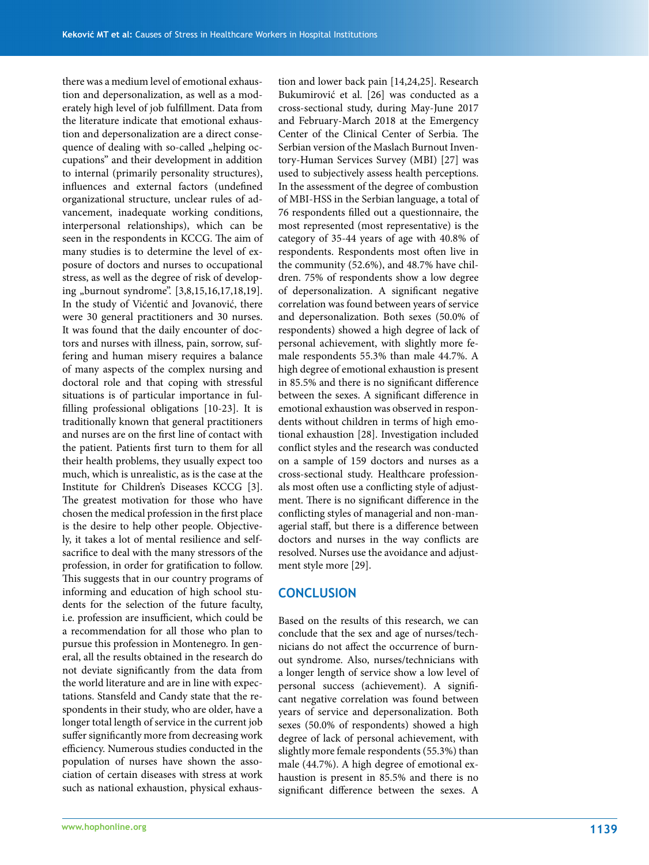there was a medium level of emotional exhaustion and depersonalization, as well as a moderately high level of job fulfillment. Data from the literature indicate that emotional exhaustion and depersonalization are a direct consequence of dealing with so-called "helping occupations" and their development in addition to internal (primarily personality structures), influences and external factors (undefined organizational structure, unclear rules of advancement, inadequate working conditions, interpersonal relationships), which can be seen in the respondents in KCCG. The aim of many studies is to determine the level of exposure of doctors and nurses to occupational stress, as well as the degree of risk of developing "burnout syndrome". [3,8,15,16,17,18,19]. In the study of Vićentić and Jovanović, there were 30 general practitioners and 30 nurses. It was found that the daily encounter of doctors and nurses with illness, pain, sorrow, suffering and human misery requires a balance of many aspects of the complex nursing and doctoral role and that coping with stressful situations is of particular importance in fulfilling professional obligations [10-23]. It is traditionally known that general practitioners and nurses are on the first line of contact with the patient. Patients first turn to them for all their health problems, they usually expect too much, which is unrealistic, as is the case at the Institute for Children's Diseases KCCG [3]. The greatest motivation for those who have chosen the medical profession in the first place is the desire to help other people. Objectively, it takes a lot of mental resilience and selfsacrifice to deal with the many stressors of the profession, in order for gratification to follow. This suggests that in our country programs of informing and education of high school students for the selection of the future faculty, i.e. profession are insufficient, which could be a recommendation for all those who plan to pursue this profession in Montenegro. In general, all the results obtained in the research do not deviate significantly from the data from the world literature and are in line with expectations. Stansfeld and Candy state that the respondents in their study, who are older, have a longer total length of service in the current job suffer significantly more from decreasing work efficiency. Numerous studies conducted in the population of nurses have shown the association of certain diseases with stress at work such as national exhaustion, physical exhaus-

tion and lower back pain [14,24,25]. Research Bukumirović et al. [26] was conducted as a cross-sectional study, during May-June 2017 and February-March 2018 at the Emergency Center of the Clinical Center of Serbia. The Serbian version of the Maslach Burnout Inventory-Human Services Survey (MBI) [27] was used to subjectively assess health perceptions. In the assessment of the degree of combustion of MBI-HSS in the Serbian language, a total of 76 respondents filled out a questionnaire, the most represented (most representative) is the category of 35-44 years of age with 40.8% of respondents. Respondents most often live in the community (52.6%), and 48.7% have children. 75% of respondents show a low degree of depersonalization. A significant negative correlation was found between years of service and depersonalization. Both sexes (50.0% of respondents) showed a high degree of lack of personal achievement, with slightly more female respondents 55.3% than male 44.7%. A high degree of emotional exhaustion is present in 85.5% and there is no significant difference between the sexes. A significant difference in emotional exhaustion was observed in respondents without children in terms of high emotional exhaustion [28]. Investigation included conflict styles and the research was conducted on a sample of 159 doctors and nurses as a cross-sectional study. Healthcare professionals most often use a conflicting style of adjustment. There is no significant difference in the conflicting styles of managerial and non-managerial staff, but there is a difference between doctors and nurses in the way conflicts are resolved. Nurses use the avoidance and adjustment style more [29].

### **CONCLUSION**

Based on the results of this research, we can conclude that the sex and age of nurses/technicians do not affect the occurrence of burnout syndrome. Also, nurses/technicians with a longer length of service show a low level of personal success (achievement). A significant negative correlation was found between years of service and depersonalization. Both sexes (50.0% of respondents) showed a high degree of lack of personal achievement, with slightly more female respondents (55.3%) than male (44.7%). A high degree of emotional exhaustion is present in 85.5% and there is no significant difference between the sexes. A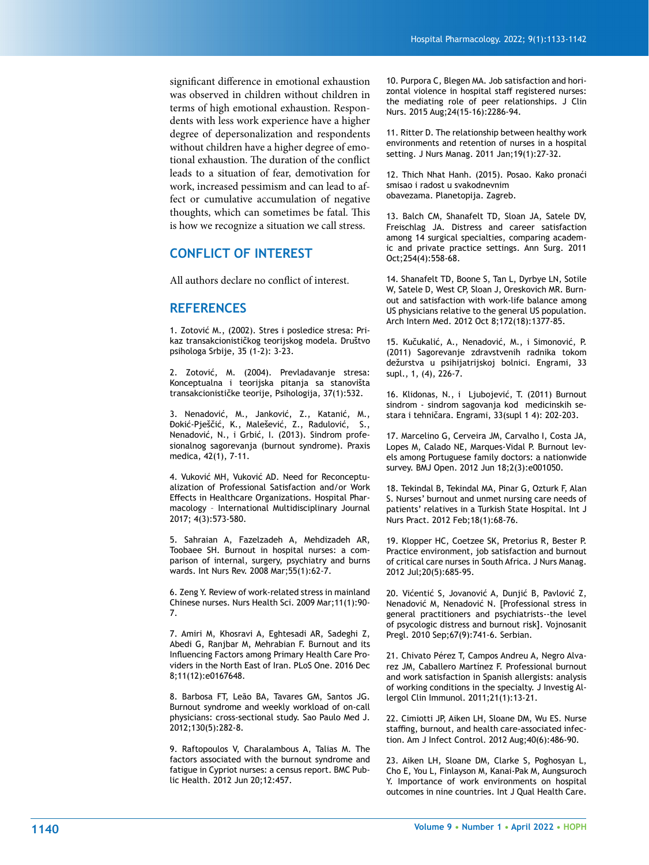significant difference in emotional exhaustion was observed in children without children in terms of high emotional exhaustion. Respon dents with less work experience have a higher degree of depersonalization and respondents without children have a higher degree of emo tional exhaustion. The duration of the conflict leads to a situation of fear, demotivation for work, increased pessimism and can lead to affect or cumulative accumulation of negative thoughts, which can sometimes be fatal. This is how we recognize a situation we call stress.

# **CONFLICT OF INTEREST**

All authors declare no conflict of interest.

# **REFERENCES**

1. Zotović M., (2002). Stres i posledice stresa: Pri kaz transakcionističkog teorijskog modela. Društvo psihologa Srbije, 35 (1-2): 3-23.

2. Zotović, M. (2004). Prevladavanje stresa: Konceptualna i teorijska pitanja sa stanovišta transakcionističke teorije, Psihologija, 37(1):532.

3. Nenadović, M., Janković, Z., Katanić, M., Đokić-Pješčić, K., Malešević, Z., Radulović, S., Nenadović, N., i Grbić, I. (2013). Sindrom profe sionalnog sagorevanja (burnout syndrome). Praxis medica, 42(1), 7-11.

4. Vuković MH, Vuković AD. Need for Reconceptu alization of Professional Satisfaction and/or Work Effects in Healthcare Organizations. Hospital Phar macology – International Multidisciplinary Journal 2017; 4(3):573-580.

5. Sahraian A, Fazelzadeh A, Mehdizadeh AR, Toobaee SH. Burnout in hospital nurses: a com parison of internal, surgery, psychiatry and burns wards. Int Nurs Rev. 2008 Mar;55(1):62-7.

6. Zeng Y. Review of work-related stress in mainland Chinese nurses. Nurs Health Sci. 2009 Mar;11(1):90- 7.

7. Amiri M, Khosravi A, Eghtesadi AR, Sadeghi Z, Abedi G, Ranjbar M, Mehrabian F. Burnout and its Influencing Factors among Primary Health Care Pro viders in the North East of Iran. PLoS One. 2016 Dec 8;11(12):e0167648.

8. Barbosa FT, Leão BA, Tavares GM, Santos JG. Burnout syndrome and weekly workload of on-call physicians: cross-sectional study. Sao Paulo Med J. 2012;130(5):282-8.

9. Raftopoulos V, Charalambous A, Talias M. The factors associated with the burnout syndrome and fatigue in Cypriot nurses: a census report. BMC Pub lic Health. 2012 Jun 20;12:457.

10. Purpora C, Blegen MA. Job satisfaction and hori zontal violence in hospital staff registered nurses: the mediating role of peer relationships. J Clin Nurs. 2015 Aug;24(15-16):2286-94.

11. Ritter D. The relationship between healthy work environments and retention of nurses in a hospital setting. J Nurs Manag. 2011 Jan;19(1):27-32.

12. Thich Nhat Hanh. (2015). Posao. Kako pronaći smisao i radost u svakodnevnim obavezama. Planetopija. Zagreb.

13. Balch CM, Shanafelt TD, Sloan JA, Satele DV, Freischlag JA. Distress and career satisfaction among 14 surgical specialties, comparing academ ic and private practice settings. Ann Surg. 2011 Oct;254(4):558-68.

14. Shanafelt TD, Boone S, Tan L, Dyrbye LN, Sotile W, Satele D, West CP, Sloan J, Oreskovich MR. Burn out and satisfaction with work-life balance among US physicians relative to the general US population. Arch Intern Med. 2012 Oct 8;172(18):1377-85.

15. Kučukalić, A., Nenadović, M., i Simonović, P. (2011) Sagorevanje zdravstvenih radnika tokom dežurstva u psihijatrijskoj bolnici. Engrami, 33 supl., 1, (4), 226-7.

16. Klidonas, N., i Ljubojević, T. (2011) Burnout sindrom - sindrom sagovanja kod medicinskih se stara i tehničara. Engrami, 33(supl 1 4): 202-203.

17. Marcelino G, Cerveira JM, Carvalho I, Costa JA, Lopes M, Calado NE, Marques-Vidal P. Burnout lev els among Portuguese family doctors: a nationwide survey. BMJ Open. 2012 Jun 18;2(3):e001050.

18. Tekindal B, Tekindal MA, Pinar G, Ozturk F, Alan S. Nurses' burnout and unmet nursing care needs of patients' relatives in a Turkish State Hospital. Int J Nurs Pract. 2012 Feb;18(1):68-76.

19. Klopper HC, Coetzee SK, Pretorius R, Bester P. Practice environment, job satisfaction and burnout of critical care nurses in South Africa. J Nurs Manag. 2012 Jul;20(5):685-95.

20. Vićentić S, Jovanović A, Dunjić B, Pavlović Z, Nenadović M, Nenadović N. [Professional stress in general practitioners and psychiatrists--the level of psycologic distress and burnout risk]. Vojnosanit Pregl. 2010 Sep;67(9):741-6. Serbian.

21. Chivato Pérez T, Campos Andreu A, Negro Alva rez JM, Caballero Martínez F. Professional burnout and work satisfaction in Spanish allergists: analysis of working conditions in the specialty. J Investig Al lergol Clin Immunol. 2011;21(1):13-21.

22. Cimiotti JP, Aiken LH, Sloane DM, Wu ES. Nurse staffing, burnout, and health care-associated infec tion. Am J Infect Control. 2012 Aug;40(6):486-90.

23. Aiken LH, Sloane DM, Clarke S, Poghosyan L, Cho E, You L, Finlayson M, Kanai-Pak M, Aungsuroch Y. Importance of work environments on hospital outcomes in nine countries. Int J Qual Health Care.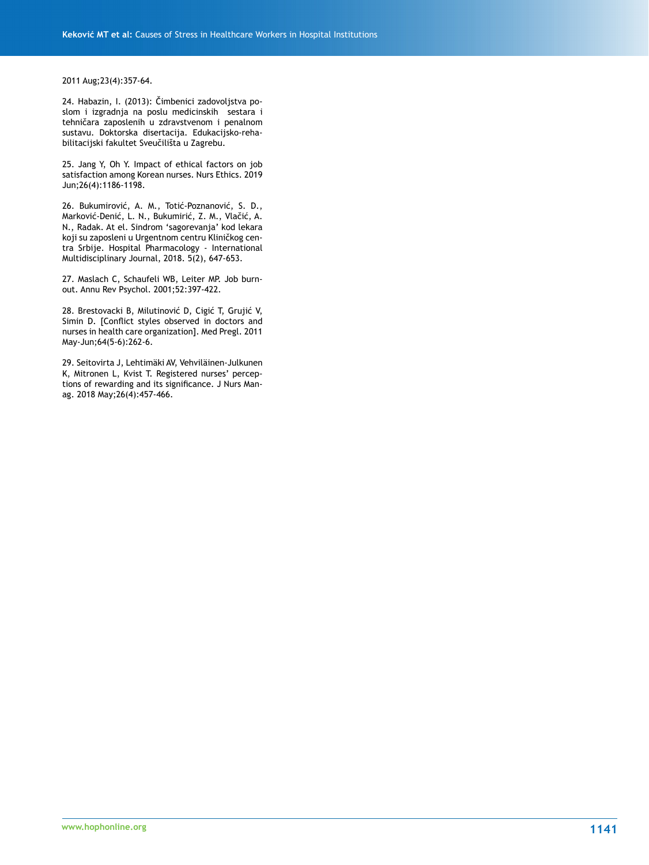#### 2011 Aug;23(4):357-64.

24. Habazin, I. (2013): Čimbenici zadovoljstva poslom i izgradnja na poslu medicinskih sestara i tehničara zaposlenih u zdravstvenom i penalnom sustavu. Doktorska disertacija. Edukacijsko-rehabilitacijski fakultet Sveučilišta u Zagrebu.

25. Jang Y, Oh Y. Impact of ethical factors on job satisfaction among Korean nurses. Nurs Ethics. 2019 Jun;26(4):1186-1198.

26. Bukumirović, A. M., Totić-Poznanović, S. D., Marković-Denić, L. N., Bukumirić, Z. M., Vlačić, A. N., Radak. At el. Sindrom 'sagorevanja' kod lekara koji su zaposleni u Urgentnom centru Kliničkog centra Srbije. Hospital Pharmacology - International Multidisciplinary Journal, 2018. 5(2), 647-653.

27. Maslach C, Schaufeli WB, Leiter MP. Job burnout. Annu Rev Psychol. 2001;52:397-422.

28. Brestovacki B, Milutinović D, Cigić T, Grujić V, Simin D. [Conflict styles observed in doctors and nurses in health care organization]. Med Pregl. 2011 May-Jun;64(5-6):262-6.

29. Seitovirta J, Lehtimäki AV, Vehviläinen-Julkunen K, Mitronen L, Kvist T. Registered nurses' perceptions of rewarding and its significance. J Nurs Manag. 2018 May;26(4):457-466.